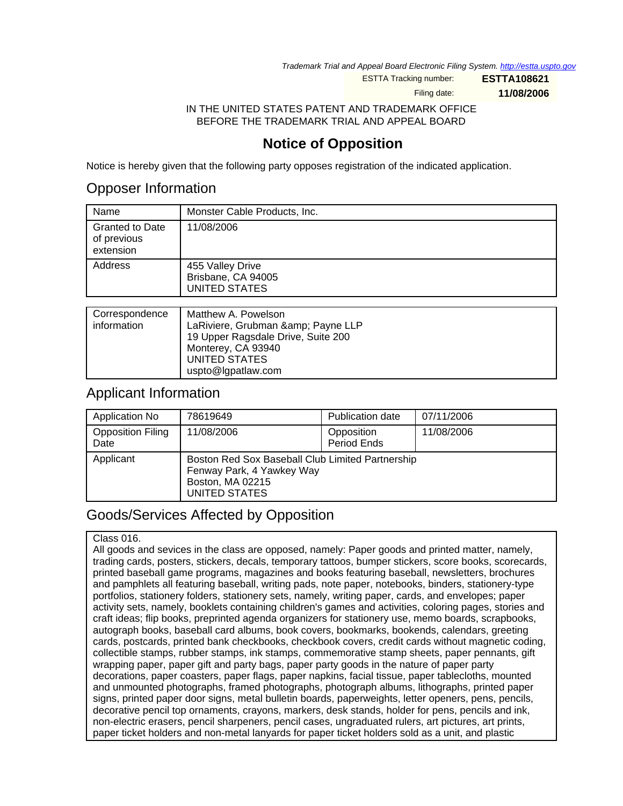Trademark Trial and Appeal Board Electronic Filing System. <http://estta.uspto.gov>

ESTTA Tracking number: **ESTTA108621**

Filing date: **11/08/2006**

IN THE UNITED STATES PATENT AND TRADEMARK OFFICE BEFORE THE TRADEMARK TRIAL AND APPEAL BOARD

## **Notice of Opposition**

Notice is hereby given that the following party opposes registration of the indicated application.

## Opposer Information

| Name                                               | Monster Cable Products, Inc.                                   |
|----------------------------------------------------|----------------------------------------------------------------|
| <b>Granted to Date</b><br>of previous<br>extension | 11/08/2006                                                     |
| Address                                            | 455 Valley Drive<br>Brisbane, CA 94005<br><b>UNITED STATES</b> |
|                                                    |                                                                |
| Correspondence                                     | Matthew A. Powelson                                            |

| Correspondence | <b>Natthew A. Powelson</b>         |
|----------------|------------------------------------|
| information    | LaRiviere, Grubman & Payne LLP     |
|                | 19 Upper Ragsdale Drive, Suite 200 |
|                | Monterey, CA 93940                 |
|                | UNITED STATES                      |
|                | uspto@lgpatlaw.com                 |

## Applicant Information

| Application No                   | 78619649                                                                                                           | <b>Publication date</b>   | 07/11/2006 |
|----------------------------------|--------------------------------------------------------------------------------------------------------------------|---------------------------|------------|
| <b>Opposition Filing</b><br>Date | 11/08/2006                                                                                                         | Opposition<br>Period Ends | 11/08/2006 |
| Applicant                        | Boston Red Sox Baseball Club Limited Partnership<br>Fenway Park, 4 Yawkey Way<br>Boston, MA 02215<br>UNITED STATES |                           |            |

# Goods/Services Affected by Opposition

### Class 016.

All goods and sevices in the class are opposed, namely: Paper goods and printed matter, namely, trading cards, posters, stickers, decals, temporary tattoos, bumper stickers, score books, scorecards, printed baseball game programs, magazines and books featuring baseball, newsletters, brochures and pamphlets all featuring baseball, writing pads, note paper, notebooks, binders, stationery-type portfolios, stationery folders, stationery sets, namely, writing paper, cards, and envelopes; paper activity sets, namely, booklets containing children's games and activities, coloring pages, stories and craft ideas; flip books, preprinted agenda organizers for stationery use, memo boards, scrapbooks, autograph books, baseball card albums, book covers, bookmarks, bookends, calendars, greeting cards, postcards, printed bank checkbooks, checkbook covers, credit cards without magnetic coding, collectible stamps, rubber stamps, ink stamps, commemorative stamp sheets, paper pennants, gift wrapping paper, paper gift and party bags, paper party goods in the nature of paper party decorations, paper coasters, paper flags, paper napkins, facial tissue, paper tablecloths, mounted and unmounted photographs, framed photographs, photograph albums, lithographs, printed paper signs, printed paper door signs, metal bulletin boards, paperweights, letter openers, pens, pencils, decorative pencil top ornaments, crayons, markers, desk stands, holder for pens, pencils and ink, non-electric erasers, pencil sharpeners, pencil cases, ungraduated rulers, art pictures, art prints, paper ticket holders and non-metal lanyards for paper ticket holders sold as a unit, and plastic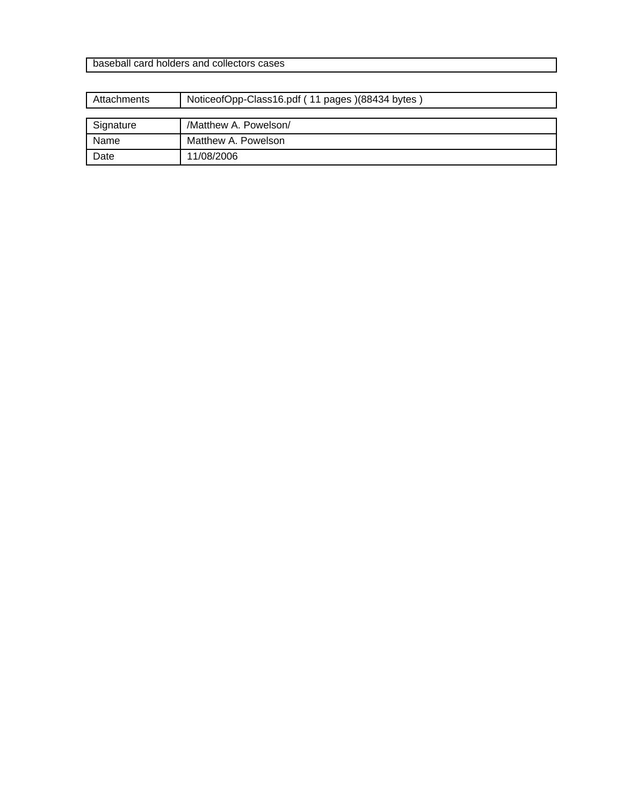baseball card holders and collectors cases

| Attachments | NoticeofOpp-Class16.pdf (11 pages)(88434 bytes) |  |
|-------------|-------------------------------------------------|--|
|             |                                                 |  |
| Signature   | /Matthew A. Powelson/                           |  |
| Name        | Matthew A. Powelson                             |  |
| Date        | 11/08/2006                                      |  |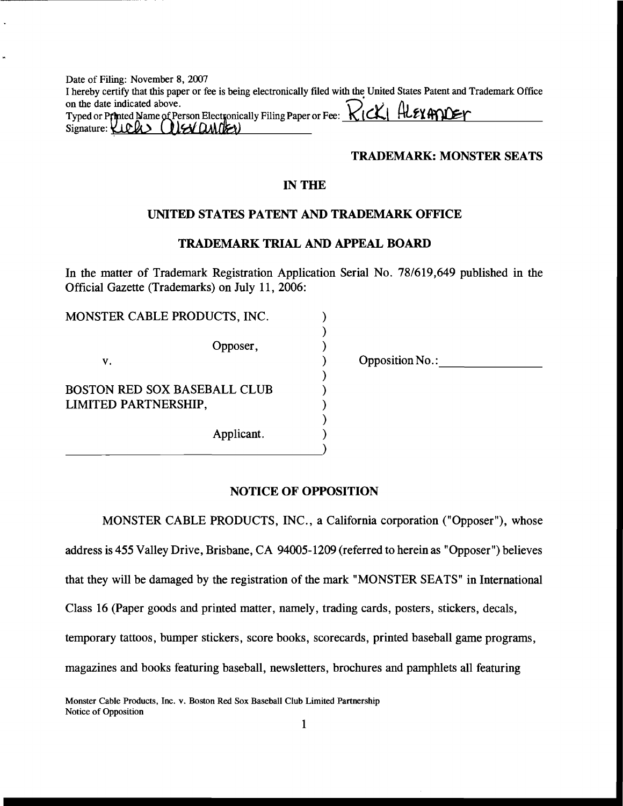| Date of Filing: November 8, 2007                                                                                         |
|--------------------------------------------------------------------------------------------------------------------------|
| I hereby certify that this paper or fee is being electronically filed with the United States Patent and Trademark Office |
|                                                                                                                          |
|                                                                                                                          |
| Typed or Printed Name of Person Electronically Filing Paper or Fee: RICK  HLEXHIVET                                      |

#### **TRADEMARK: MONSTER SEATS**

### **IN THE**

#### UNITED STATES PATENT AND TRADEMARK OFFICE

#### **TRADEMARK TRIAL AND APPEAL BOARD**

In the matter of Trademark Registration Application Serial No. 78/619,649 published in the Official Gazette (Trademarks) on July 11, 2006:

| MONSTER CABLE PRODUCTS, INC.        |            |
|-------------------------------------|------------|
|                                     | Opposer,   |
| V.                                  |            |
| <b>BOSTON RED SOX BASEBALL CLUB</b> |            |
| LIMITED PARTNERSHIP,                |            |
|                                     | Applicant. |

**Opposition No.:** 

#### **NOTICE OF OPPOSITION**

MONSTER CABLE PRODUCTS, INC., a California corporation ("Opposer"), whose address is 455 Valley Drive, Brisbane, CA 94005-1209 (referred to herein as "Opposer") believes that they will be damaged by the registration of the mark "MONSTER SEATS" in International Class 16 (Paper goods and printed matter, namely, trading cards, posters, stickers, decals, temporary tattoos, bumper stickers, score books, scorecards, printed baseball game programs, magazines and books featuring baseball, newsletters, brochures and pamphlets all featuring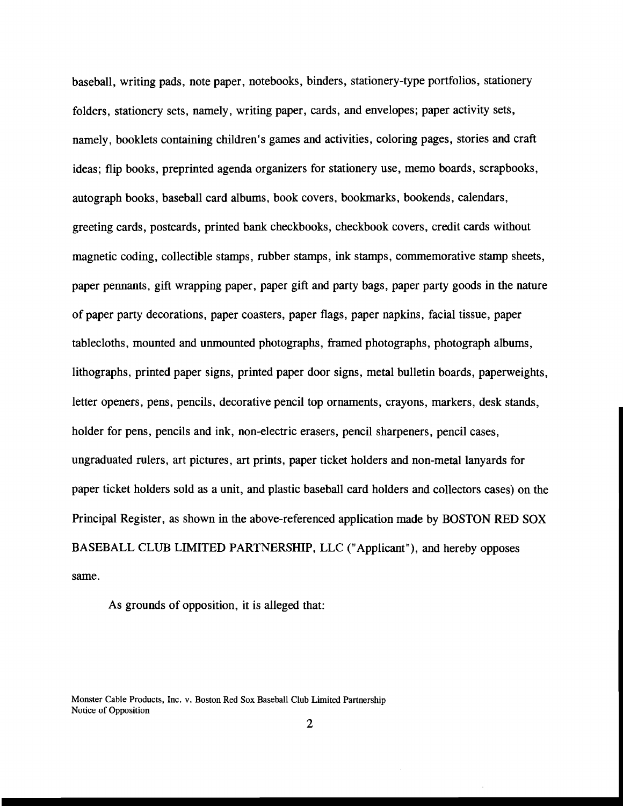baseball, writing pads, note paper, notebooks, binders, stationery-type portfolios, stationery folders, stationery sets, namely, writing paper, cards, and envelopes; paper activity sets, namely, booklets containing children's games and activities, coloring pages, stories and craft ideas; flip books, preprinted agenda organizers for stationery use, memo boards, scrapbooks, autograph books, baseball card albums, book covers, bookmarks, bookends, calendars, greeting cards, postcards, printed bank checkbooks, checkbook covers, credit cards without magnetic coding, collectible stamps, rubber stamps, ink stamps, commemorative stamp sheets, paper pennants, gift wrapping paper, paper gift and party bags, paper party goods in the nature of paper party decorations, paper coasters, paper flags, paper napkins, facial tissue, paper tablecloths, mounted and unmounted photographs, framed photographs, photograph albums, lithographs, printed paper signs, printed paper door signs, metal bulletin boards, paperweights, letter openers, pens, pencils, decorative pencil top ornaments, crayons, markers, desk stands, holder for pens, pencils and ink, non-electric erasers, pencil sharpeners, pencil cases, ungraduated rulers, art pictures, art prints, paper ticket holders and non-metal lanyards for paper ticket holders sold as a unit, and plastic baseball card holders and collectors cases) on the Principal Register, as shown in the above-referenced application made by BOSTON RED SOX BASEBALL CLUB LIMITED PARTNERSHIP, LLC ("Applicant"), and hereby opposes same.

As grounds of opposition, it is alleged that:

Monster Cable Products, Inc. v. Boston Red Sox Baseball Club Limited Partnership Notice of Opposition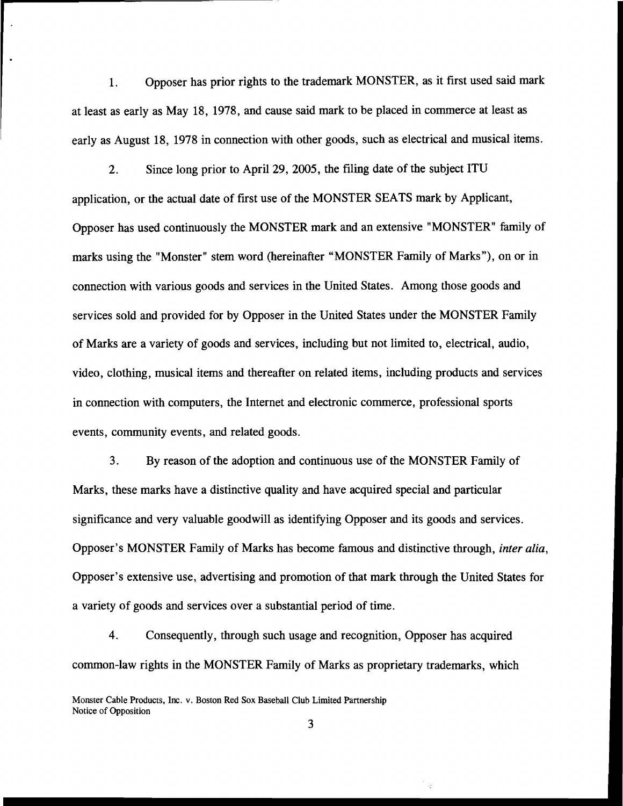Opposer has prior rights to the trademark MONSTER, as it first used said mark  $1<sub>1</sub>$ at least as early as May 18, 1978, and cause said mark to be placed in commerce at least as early as August 18, 1978 in connection with other goods, such as electrical and musical items.

Since long prior to April 29, 2005, the filing date of the subject ITU  $2<sub>1</sub>$ application, or the actual date of first use of the MONSTER SEATS mark by Applicant, Opposer has used continuously the MONSTER mark and an extensive "MONSTER" family of marks using the "Monster" stem word (hereinafter "MONSTER Family of Marks"), on or in connection with various goods and services in the United States. Among those goods and services sold and provided for by Opposer in the United States under the MONSTER Family of Marks are a variety of goods and services, including but not limited to, electrical, audio, video, clothing, musical items and thereafter on related items, including products and services in connection with computers, the Internet and electronic commerce, professional sports events, community events, and related goods.

 $3<sub>1</sub>$ By reason of the adoption and continuous use of the MONSTER Family of Marks, these marks have a distinctive quality and have acquired special and particular significance and very valuable goodwill as identifying Opposer and its goods and services. Opposer's MONSTER Family of Marks has become famous and distinctive through, *inter alia*, Opposer's extensive use, advertising and promotion of that mark through the United States for a variety of goods and services over a substantial period of time.

 $\overline{4}$ . Consequently, through such usage and recognition, Opposer has acquired common-law rights in the MONSTER Family of Marks as proprietary trademarks, which

 $\mathcal{L}$ 

Monster Cable Products, Inc. v. Boston Red Sox Baseball Club Limited Partnership Notice of Opposition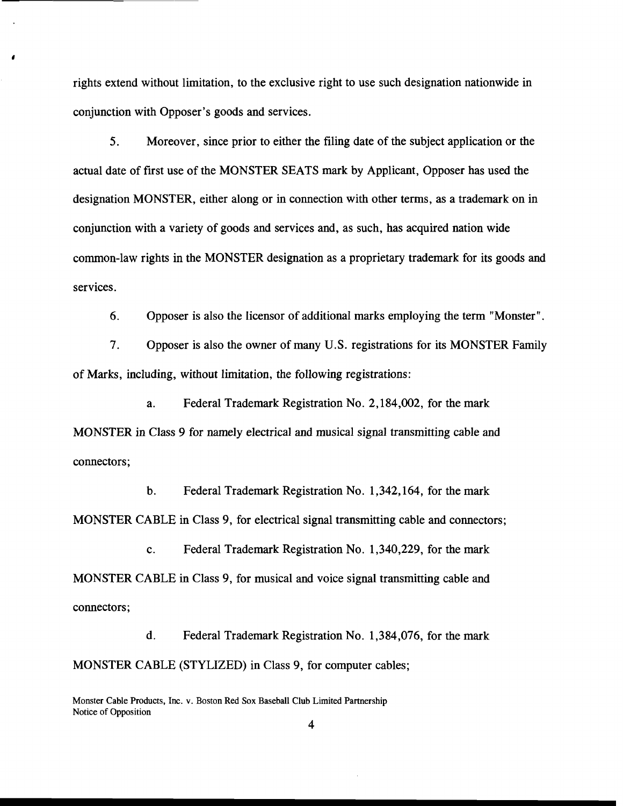rights extend without limitation, to the exclusive right to use such designation nationwide in conjunction with Opposer's goods and services.

 $5<sub>1</sub>$ Moreover, since prior to either the filing date of the subject application or the actual date of first use of the MONSTER SEATS mark by Applicant, Opposer has used the designation MONSTER, either along or in connection with other terms, as a trademark on in conjunction with a variety of goods and services and, as such, has acquired nation wide common-law rights in the MONSTER designation as a proprietary trademark for its goods and services.

6. Opposer is also the licensor of additional marks employing the term "Monster".

 $7<sub>1</sub>$ Opposer is also the owner of many U.S. registrations for its MONSTER Family of Marks, including, without limitation, the following registrations:

Federal Trademark Registration No. 2,184,002, for the mark  $a.$ MONSTER in Class 9 for namely electrical and musical signal transmitting cable and connectors;

 $h$ Federal Trademark Registration No. 1,342,164, for the mark MONSTER CABLE in Class 9, for electrical signal transmitting cable and connectors;

Federal Trademark Registration No. 1,340,229, for the mark  $\mathbf{c}$ . MONSTER CABLE in Class 9, for musical and voice signal transmitting cable and connectors:

 $\mathbf{d}$ . Federal Trademark Registration No. 1,384,076, for the mark MONSTER CABLE (STYLIZED) in Class 9, for computer cables;

Monster Cable Products, Inc. v. Boston Red Sox Baseball Club Limited Partnership Notice of Opposition

 $\overline{\mathbf{4}}$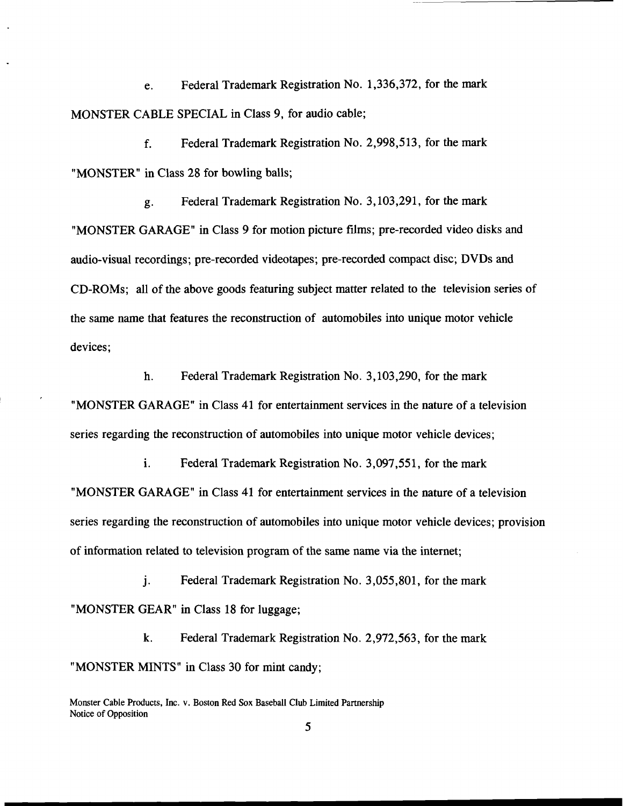Federal Trademark Registration No. 1,336,372, for the mark e. MONSTER CABLE SPECIAL in Class 9, for audio cable;

 $f_{\perp}$ Federal Trademark Registration No. 2,998,513, for the mark "MONSTER" in Class 28 for bowling balls;

Federal Trademark Registration No. 3, 103, 291, for the mark g. "MONSTER GARAGE" in Class 9 for motion picture films; pre-recorded video disks and audio-visual recordings; pre-recorded videotapes; pre-recorded compact disc; DVDs and CD-ROMs; all of the above goods featuring subject matter related to the television series of the same name that features the reconstruction of automobiles into unique motor vehicle devices;

h. Federal Trademark Registration No. 3, 103, 290, for the mark "MONSTER GARAGE" in Class 41 for entertainment services in the nature of a television series regarding the reconstruction of automobiles into unique motor vehicle devices;

i. Federal Trademark Registration No. 3,097,551, for the mark "MONSTER GARAGE" in Class 41 for entertainment services in the nature of a television series regarding the reconstruction of automobiles into unique motor vehicle devices; provision of information related to television program of the same name via the internet;

Federal Trademark Registration No. 3,055,801, for the mark  $\mathbf{i}$ . "MONSTER GEAR" in Class 18 for luggage;

k. Federal Trademark Registration No. 2,972,563, for the mark "MONSTER MINTS" in Class 30 for mint candy;

Monster Cable Products, Inc. v. Boston Red Sox Baseball Club Limited Partnership Notice of Opposition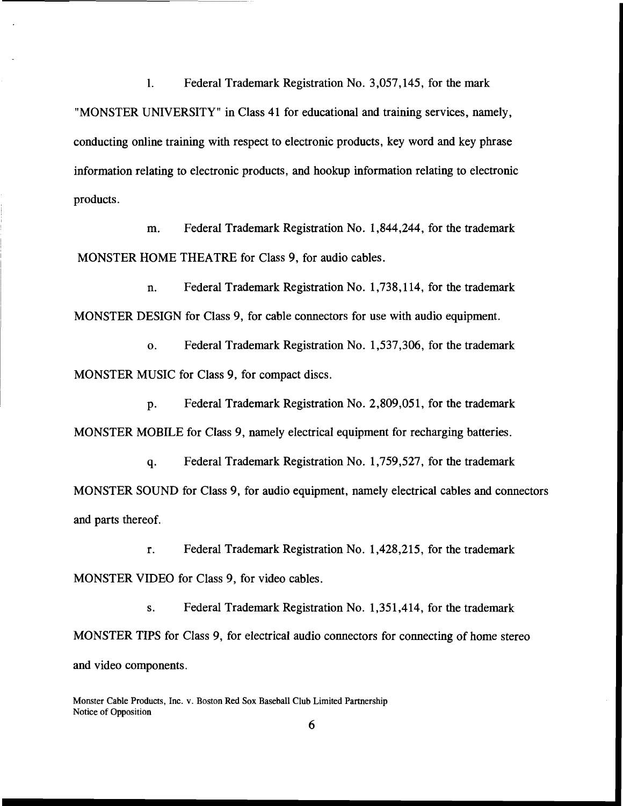Federal Trademark Registration No. 3,057,145, for the mark  $\mathbf{1}$ . "MONSTER UNIVERSITY" in Class 41 for educational and training services, namely, conducting online training with respect to electronic products, key word and key phrase information relating to electronic products, and hookup information relating to electronic products.

Federal Trademark Registration No. 1,844,244, for the trademark m. MONSTER HOME THEATRE for Class 9, for audio cables.

Federal Trademark Registration No. 1,738,114, for the trademark n. MONSTER DESIGN for Class 9, for cable connectors for use with audio equipment.

Federal Trademark Registration No. 1,537,306, for the trademark  $\mathbf{0}$ . MONSTER MUSIC for Class 9, for compact discs.

Federal Trademark Registration No. 2,809,051, for the trademark p. MONSTER MOBILE for Class 9, namely electrical equipment for recharging batteries.

Federal Trademark Registration No. 1,759,527, for the trademark q. MONSTER SOUND for Class 9, for audio equipment, namely electrical cables and connectors and parts thereof.

Federal Trademark Registration No. 1,428,215, for the trademark  $\mathbf{r}$ . MONSTER VIDEO for Class 9, for video cables.

Federal Trademark Registration No. 1,351,414, for the trademark  $S<sub>1</sub>$ MONSTER TIPS for Class 9, for electrical audio connectors for connecting of home stereo and video components.

Monster Cable Products, Inc. v. Boston Red Sox Baseball Club Limited Partnership Notice of Opposition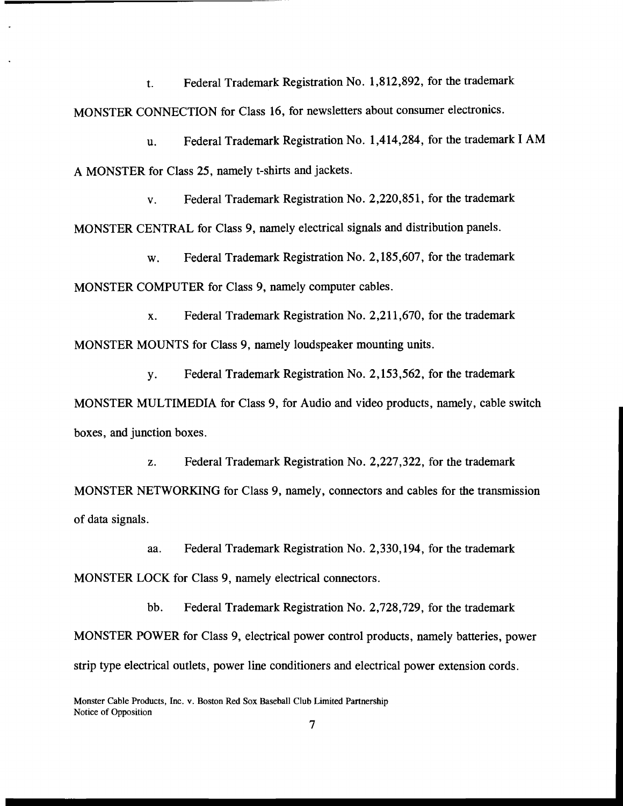Federal Trademark Registration No. 1,812,892, for the trademark  $t$ . MONSTER CONNECTION for Class 16, for newsletters about consumer electronics.

Federal Trademark Registration No. 1,414,284, for the trademark I AM u. A MONSTER for Class 25, namely t-shirts and jackets.

Federal Trademark Registration No. 2,220,851, for the trademark  $\mathbf{V}$ . MONSTER CENTRAL for Class 9, namely electrical signals and distribution panels.

Federal Trademark Registration No. 2,185,607, for the trademark W. MONSTER COMPUTER for Class 9, namely computer cables.

Federal Trademark Registration No. 2,211,670, for the trademark  $\mathbf{x}$ . MONSTER MOUNTS for Class 9, namely loudspeaker mounting units.

Federal Trademark Registration No. 2,153,562, for the trademark **y**. MONSTER MULTIMEDIA for Class 9, for Audio and video products, namely, cable switch boxes, and junction boxes.

Federal Trademark Registration No. 2,227,322, for the trademark Z. MONSTER NETWORKING for Class 9, namely, connectors and cables for the transmission of data signals.

Federal Trademark Registration No. 2,330,194, for the trademark aa. MONSTER LOCK for Class 9, namely electrical connectors.

bb. Federal Trademark Registration No. 2,728,729, for the trademark MONSTER POWER for Class 9, electrical power control products, namely batteries, power strip type electrical outlets, power line conditioners and electrical power extension cords.

Monster Cable Products, Inc. v. Boston Red Sox Baseball Club Limited Partnership Notice of Opposition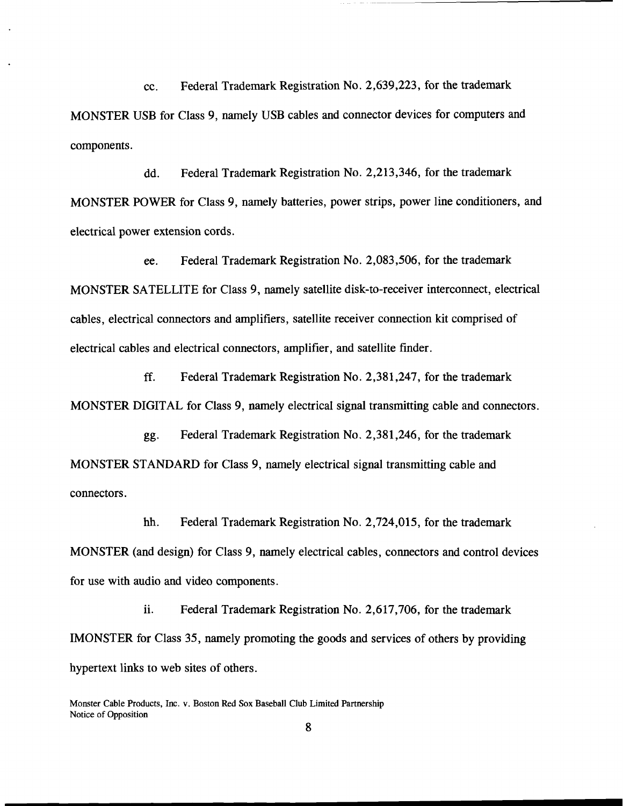Federal Trademark Registration No. 2,639,223, for the trademark cc. MONSTER USB for Class 9, namely USB cables and connector devices for computers and components.

Federal Trademark Registration No. 2,213,346, for the trademark dd. MONSTER POWER for Class 9, namely batteries, power strips, power line conditioners, and electrical power extension cords.

Federal Trademark Registration No. 2,083,506, for the trademark ee. MONSTER SATELLITE for Class 9, namely satellite disk-to-receiver interconnect, electrical cables, electrical connectors and amplifiers, satellite receiver connection kit comprised of electrical cables and electrical connectors, amplifier, and satellite finder.

ff. Federal Trademark Registration No. 2,381,247, for the trademark MONSTER DIGITAL for Class 9, namely electrical signal transmitting cable and connectors.

Federal Trademark Registration No. 2,381,246, for the trademark gg. MONSTER STANDARD for Class 9, namely electrical signal transmitting cable and connectors.

Federal Trademark Registration No. 2,724,015, for the trademark hh. MONSTER (and design) for Class 9, namely electrical cables, connectors and control devices for use with audio and video components.

ii. Federal Trademark Registration No. 2,617,706, for the trademark IMONSTER for Class 35, namely promoting the goods and services of others by providing hypertext links to web sites of others.

Monster Cable Products, Inc. v. Boston Red Sox Baseball Club Limited Partnership Notice of Opposition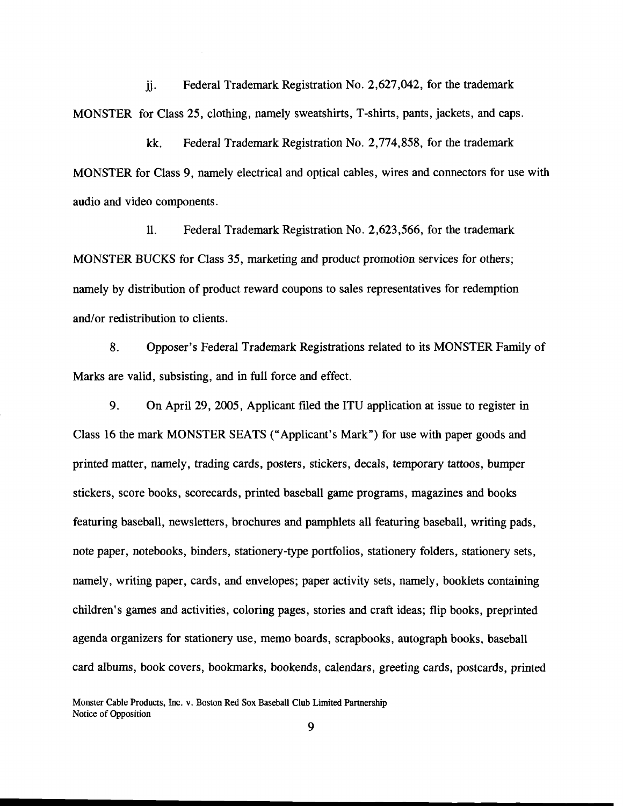ii. Federal Trademark Registration No. 2,627,042, for the trademark MONSTER for Class 25, clothing, namely sweatshirts, T-shirts, pants, jackets, and caps.

 $k\mathbf{k}$ . Federal Trademark Registration No. 2,774,858, for the trademark MONSTER for Class 9, namely electrical and optical cables, wires and connectors for use with audio and video components.

 $\mathbf{11}$ . Federal Trademark Registration No. 2,623,566, for the trademark MONSTER BUCKS for Class 35, marketing and product promotion services for others; namely by distribution of product reward coupons to sales representatives for redemption and/or redistribution to clients.

8. Opposer's Federal Trademark Registrations related to its MONSTER Family of Marks are valid, subsisting, and in full force and effect.

 $9<sub>1</sub>$ On April 29, 2005, Applicant filed the ITU application at issue to register in Class 16 the mark MONSTER SEATS ("Applicant's Mark") for use with paper goods and printed matter, namely, trading cards, posters, stickers, decals, temporary tattoos, bumper stickers, score books, scorecards, printed baseball game programs, magazines and books featuring baseball, newsletters, brochures and pamphlets all featuring baseball, writing pads, note paper, notebooks, binders, stationery-type portfolios, stationery folders, stationery sets, namely, writing paper, cards, and envelopes; paper activity sets, namely, booklets containing children's games and activities, coloring pages, stories and craft ideas; flip books, preprinted agenda organizers for stationery use, memo boards, scrapbooks, autograph books, baseball card albums, book covers, bookmarks, bookends, calendars, greeting cards, postcards, printed

Monster Cable Products, Inc. v. Boston Red Sox Baseball Club Limited Partnership Notice of Opposition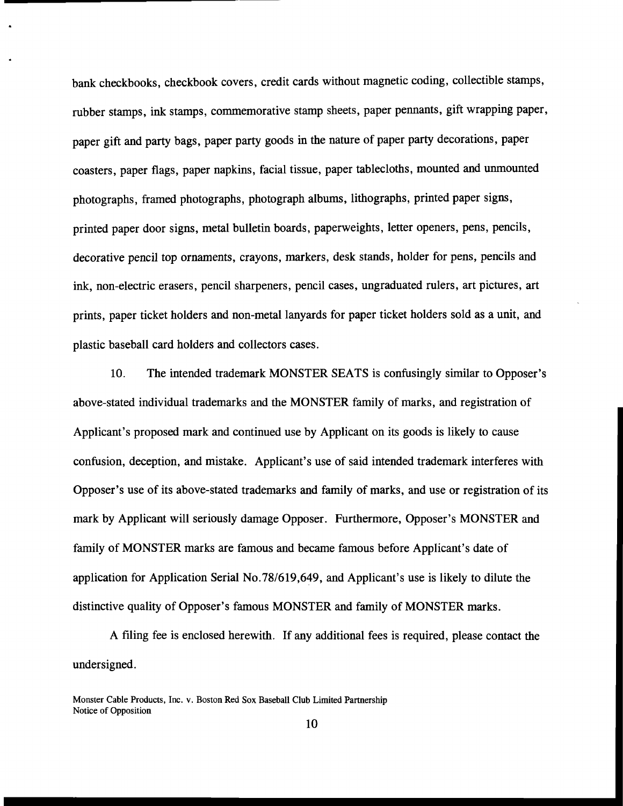bank checkbooks, checkbook covers, credit cards without magnetic coding, collectible stamps, rubber stamps, ink stamps, commemorative stamp sheets, paper pennants, gift wrapping paper, paper gift and party bags, paper party goods in the nature of paper party decorations, paper coasters, paper flags, paper napkins, facial tissue, paper tablecloths, mounted and unmounted photographs, framed photographs, photograph albums, lithographs, printed paper signs, printed paper door signs, metal bulletin boards, paperweights, letter openers, pens, pencils, decorative pencil top ornaments, crayons, markers, desk stands, holder for pens, pencils and ink, non-electric erasers, pencil sharpeners, pencil cases, ungraduated rulers, art pictures, art prints, paper ticket holders and non-metal lanyards for paper ticket holders sold as a unit, and plastic baseball card holders and collectors cases.

10. The intended trademark MONSTER SEATS is confusingly similar to Opposer's above-stated individual trademarks and the MONSTER family of marks, and registration of Applicant's proposed mark and continued use by Applicant on its goods is likely to cause confusion, deception, and mistake. Applicant's use of said intended trademark interferes with Opposer's use of its above-stated trademarks and family of marks, and use or registration of its mark by Applicant will seriously damage Opposer. Furthermore, Opposer's MONSTER and family of MONSTER marks are famous and became famous before Applicant's date of application for Application Serial No.78/619,649, and Applicant's use is likely to dilute the distinctive quality of Opposer's famous MONSTER and family of MONSTER marks.

A filing fee is enclosed herewith. If any additional fees is required, please contact the undersigned.

Monster Cable Products, Inc. v. Boston Red Sox Baseball Club Limited Partnership Notice of Opposition